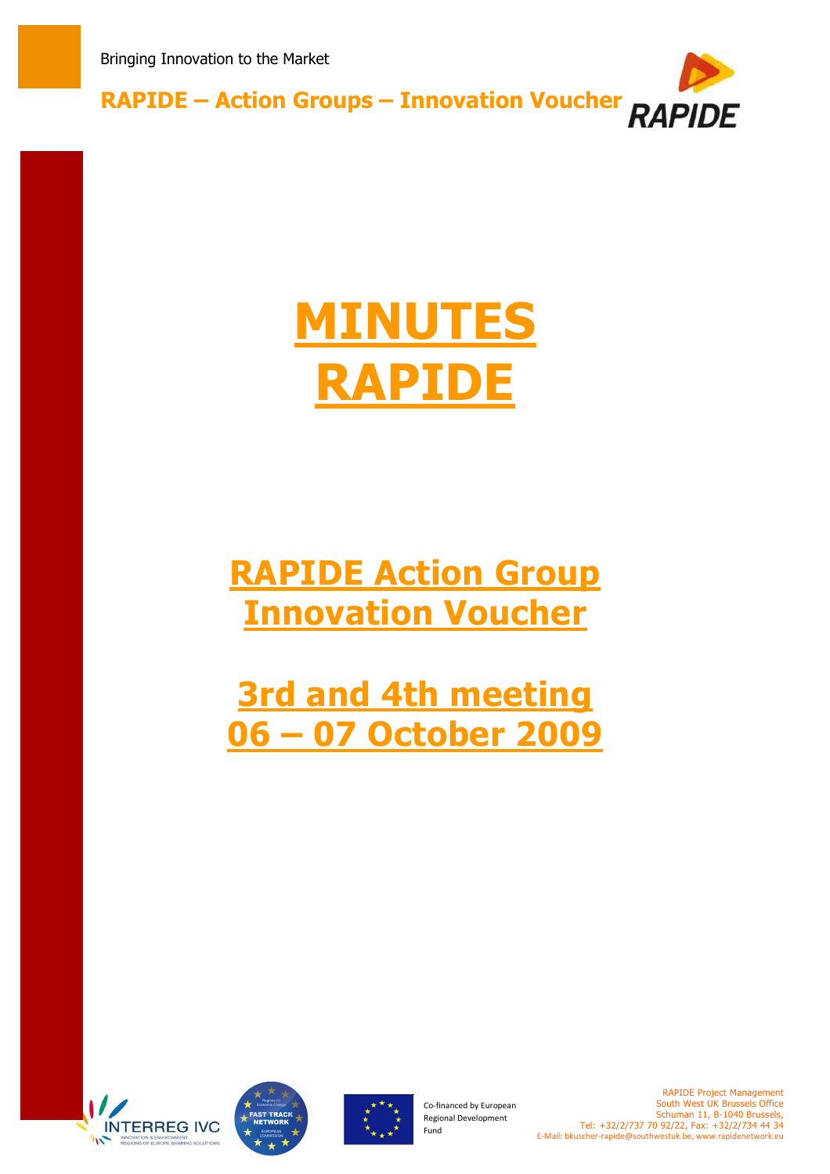

# **MINUTES RAPIDE**

## **RAPIDE Action Group Innovation Voucher**

**3rd and 4th meeting 06 – 07 October 2009**







Co-financed by European Regional Development Fund

RAPIDE Project Management South West UK Brussels Office Schuman 11, B-1040 Brussels, Tel: +32/2/737 70 92/22, Fax: +32/2/734 44 34 E-Mail: bkuscher-rapide@southwestuk.be, www.rapidenetwork.eu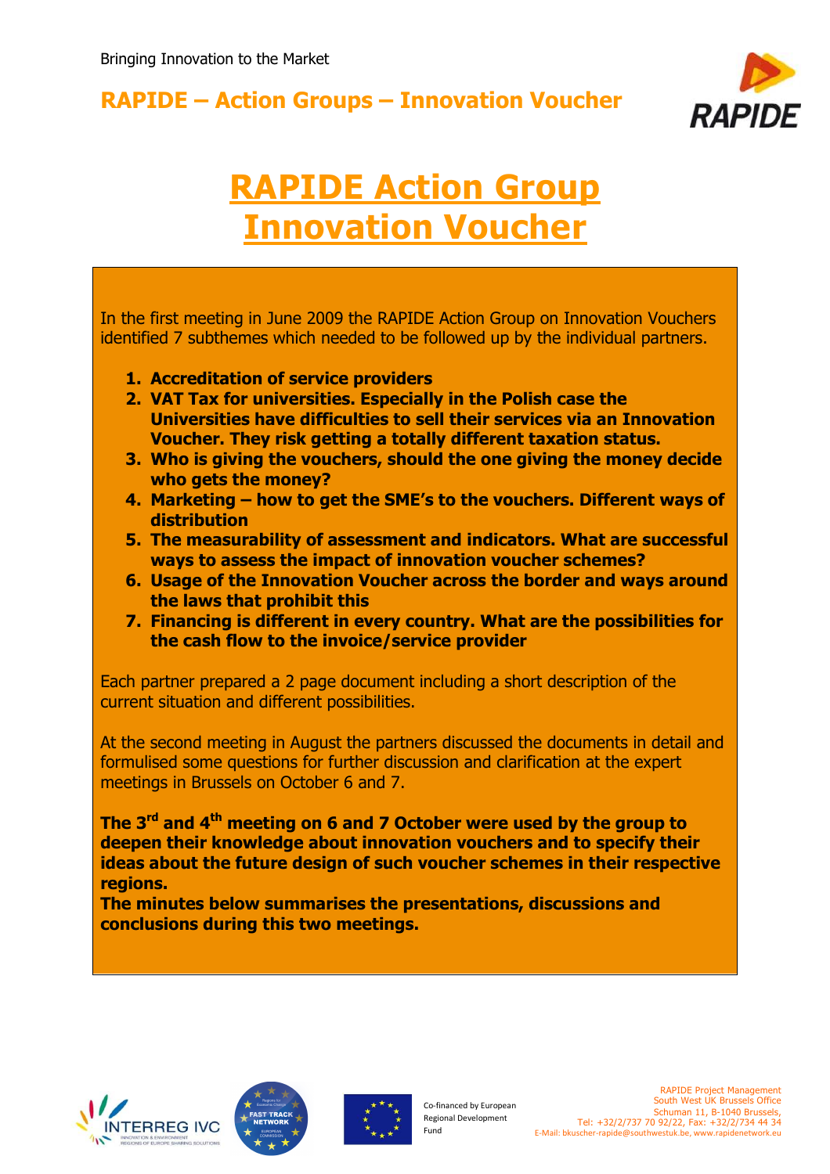

## **RAPIDE Action Group Innovation Voucher**

In the first meeting in June 2009 the RAPIDE Action Group on Innovation Vouchers identified 7 subthemes which needed to be followed up by the individual partners.

- **1. Accreditation of service providers**
- **2. VAT Tax for universities. Especially in the Polish case the Universities have difficulties to sell their services via an Innovation Voucher. They risk getting a totally different taxation status.**
- **3. Who is giving the vouchers, should the one giving the money decide who gets the money?**
- **4. Marketing how to get the SME's to the vouchers. Different ways of distribution**
- **5. The measurability of assessment and indicators. What are successful ways to assess the impact of innovation voucher schemes?**
- **6. Usage of the Innovation Voucher across the border and ways around the laws that prohibit this**
- **7. Financing is different in every country. What are the possibilities for the cash flow to the invoice/service provider**

Each partner prepared a 2 page document including a short description of the current situation and different possibilities.

At the second meeting in August the partners discussed the documents in detail and formulised some questions for further discussion and clarification at the expert meetings in Brussels on October 6 and 7.

**The 3rd and 4th meeting on 6 and 7 October were used by the group to deepen their knowledge about innovation vouchers and to specify their ideas about the future design of such voucher schemes in their respective regions.** 

**The minutes below summarises the presentations, discussions and conclusions during this two meetings.**







Co-financed by European Regional Development Fund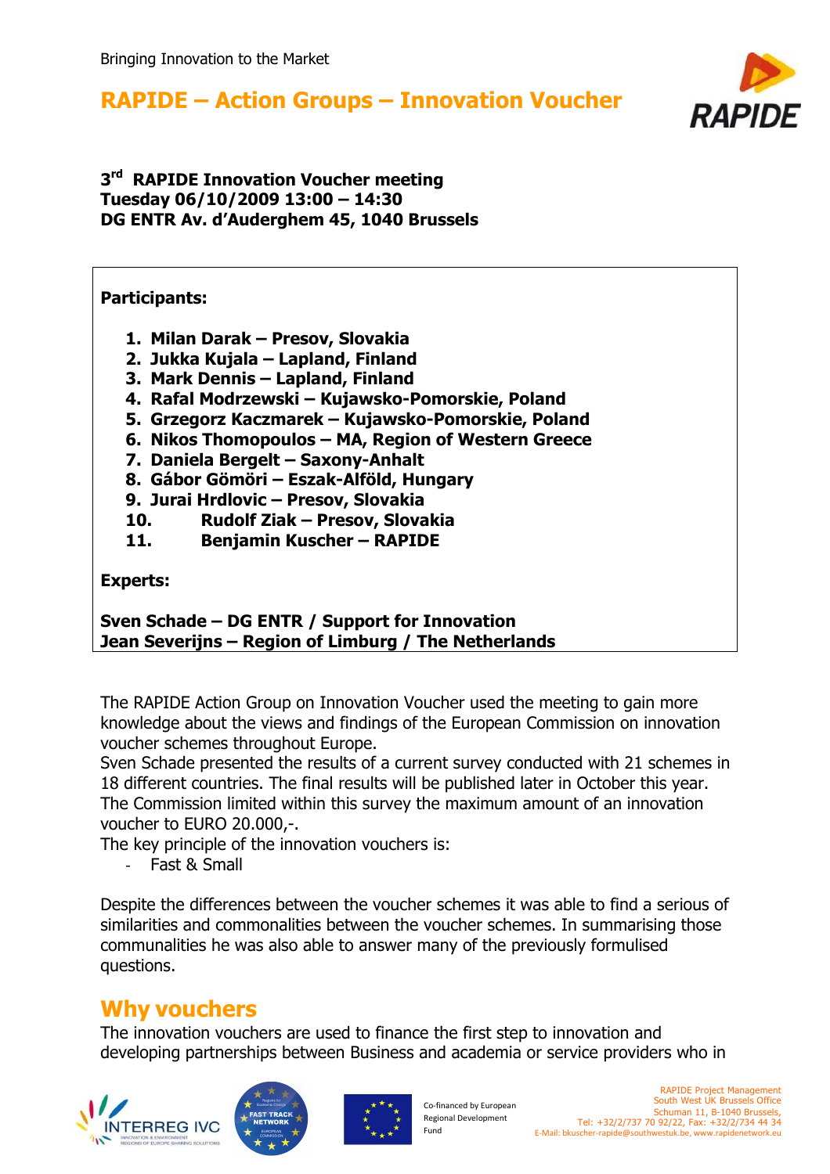

#### **3 rd RAPIDE Innovation Voucher meeting Tuesday 06/10/2009 13:00 – 14:30 DG ENTR Av. d'Auderghem 45, 1040 Brussels**

#### **Participants:**

- **1. Milan Darak Presov, Slovakia**
- **2. Jukka Kujala Lapland, Finland**
- **3. Mark Dennis Lapland, Finland**
- **4. Rafal Modrzewski Kujawsko-Pomorskie, Poland**
- **5. Grzegorz Kaczmarek Kujawsko-Pomorskie, Poland**
- **6. Nikos Thomopoulos MA, Region of Western Greece**
- **7. Daniela Bergelt Saxony-Anhalt**
- **8. Gábor Gömöri Eszak-Alföld, Hungary**
- **9. Jurai Hrdlovic Presov, Slovakia**
- **10. Rudolf Ziak Presov, Slovakia**
- **11. Benjamin Kuscher RAPIDE**

#### **Experts:**

**Sven Schade – DG ENTR / Support for Innovation Jean Severijns – Region of Limburg / The Netherlands** 

The RAPIDE Action Group on Innovation Voucher used the meeting to gain more knowledge about the views and findings of the European Commission on innovation voucher schemes throughout Europe.

Sven Schade presented the results of a current survey conducted with 21 schemes in 18 different countries. The final results will be published later in October this year. The Commission limited within this survey the maximum amount of an innovation voucher to EURO 20.000,-.

The key principle of the innovation vouchers is:

Fast & Small

Despite the differences between the voucher schemes it was able to find a serious of similarities and commonalities between the voucher schemes. In summarising those communalities he was also able to answer many of the previously formulised questions.

### **Why vouchers**

The innovation vouchers are used to finance the first step to innovation and developing partnerships between Business and academia or service providers who in





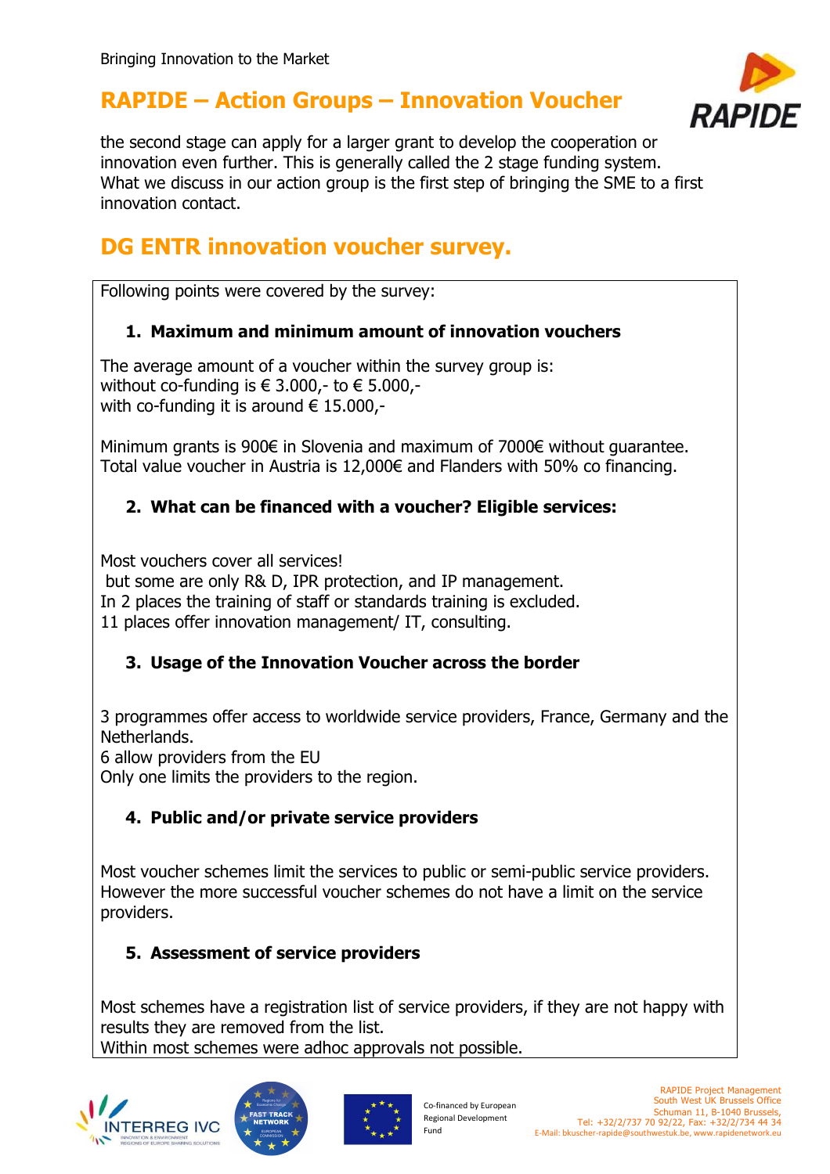

the second stage can apply for a larger grant to develop the cooperation or innovation even further. This is generally called the 2 stage funding system. What we discuss in our action group is the first step of bringing the SME to a first innovation contact.

## **DG ENTR innovation voucher survey.**

Following points were covered by the survey:

#### **1. Maximum and minimum amount of innovation vouchers**

The average amount of a voucher within the survey group is: without co-funding is  $\in$  3.000,- to  $\in$  5.000,with co-funding it is around  $\epsilon$  15.000,-

Minimum grants is 900€ in Slovenia and maximum of 7000€ without guarantee. Total value voucher in Austria is 12,000€ and Flanders with 50% co financing.

#### **2. What can be financed with a voucher? Eligible services:**

Most vouchers cover all services!

but some are only R& D, IPR protection, and IP management.

In 2 places the training of staff or standards training is excluded.

11 places offer innovation management/ IT, consulting.

#### **3. Usage of the Innovation Voucher across the border**

3 programmes offer access to worldwide service providers, France, Germany and the Netherlands.

6 allow providers from the EU

Only one limits the providers to the region.

#### **4. Public and/or private service providers**

Most voucher schemes limit the services to public or semi-public service providers. However the more successful voucher schemes do not have a limit on the service providers.

#### **5. Assessment of service providers**

Most schemes have a registration list of service providers, if they are not happy with results they are removed from the list. Within most schemes were adhoc approvals not possible.

I



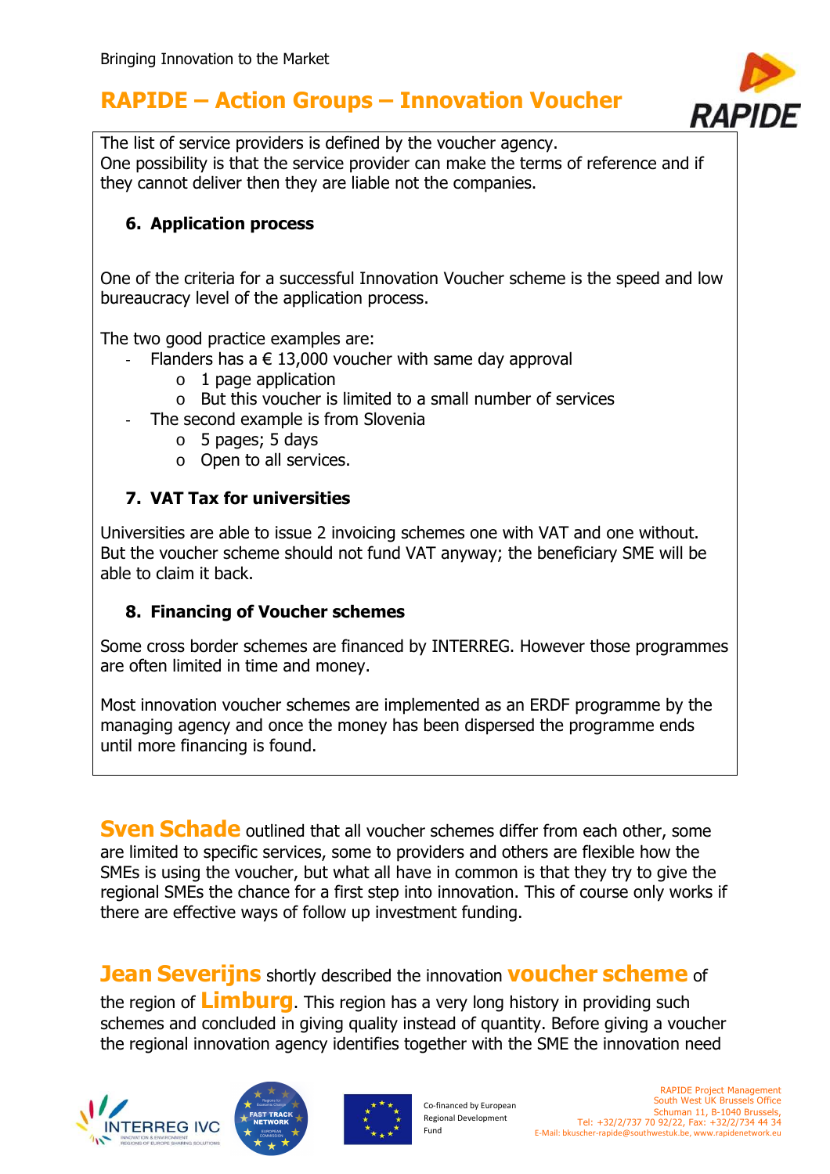

The list of service providers is defined by the voucher agency. One possibility is that the service provider can make the terms of reference and if they cannot deliver then they are liable not the companies.

#### **6. Application process**

One of the criteria for a successful Innovation Voucher scheme is the speed and low bureaucracy level of the application process.

The two good practice examples are:

- Flanders has a  $\epsilon$  13,000 voucher with same day approval
	- $\circ$  1 page application
	- o But this voucher is limited to a small number of services
- The second example is from Slovenia
	- o 5 pages; 5 days
	- o Open to all services.

#### **7. VAT Tax for universities**

Universities are able to issue 2 invoicing schemes one with VAT and one without. But the voucher scheme should not fund VAT anyway; the beneficiary SME will be able to claim it back.

#### **8. Financing of Voucher schemes**

Some cross border schemes are financed by INTERREG. However those programmes are often limited in time and money.

Most innovation voucher schemes are implemented as an ERDF programme by the managing agency and once the money has been dispersed the programme ends until more financing is found.

**Sven Schade** outlined that all voucher schemes differ from each other, some are limited to specific services, some to providers and others are flexible how the SMEs is using the voucher, but what all have in common is that they try to give the regional SMEs the chance for a first step into innovation. This of course only works if there are effective ways of follow up investment funding.

#### **Jean Severijns** shortly described the innovation **voucher scheme** of

the region of **Limburg**. This region has a very long history in providing such schemes and concluded in giving quality instead of quantity. Before giving a voucher the regional innovation agency identifies together with the SME the innovation need







Co-financed by European Regional Development Fund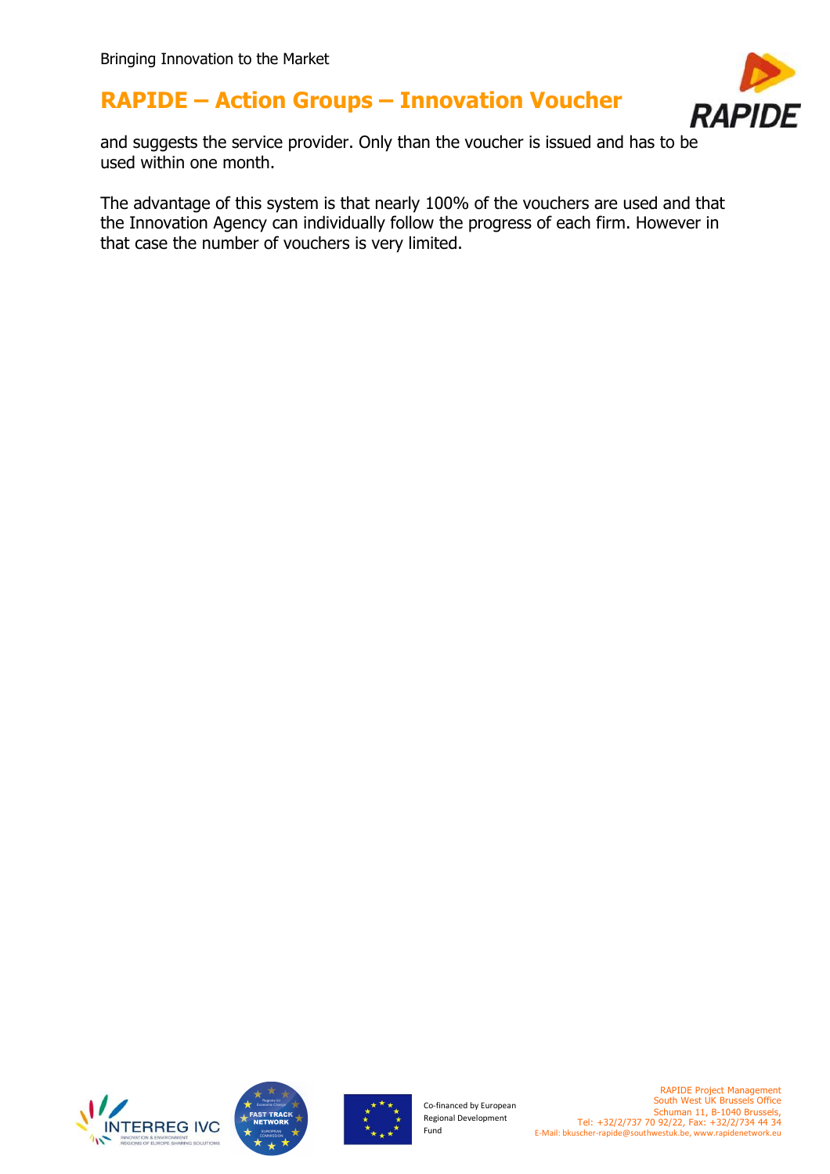

and suggests the service provider. Only than the voucher is issued and has to be used within one month.

The advantage of this system is that nearly 100% of the vouchers are used and that the Innovation Agency can individually follow the progress of each firm. However in that case the number of vouchers is very limited.







Co-financed by European Regional Development Fund

RAPIDE Project Management South West UK Brussels Office Schuman 11, B-1040 Brussels, Tel: +32/2/737 70 92/22, Fax: +32/2/734 44 34 E-Mail: bkuscher-rapide@southwestuk.be, www.rapidenetwork.eu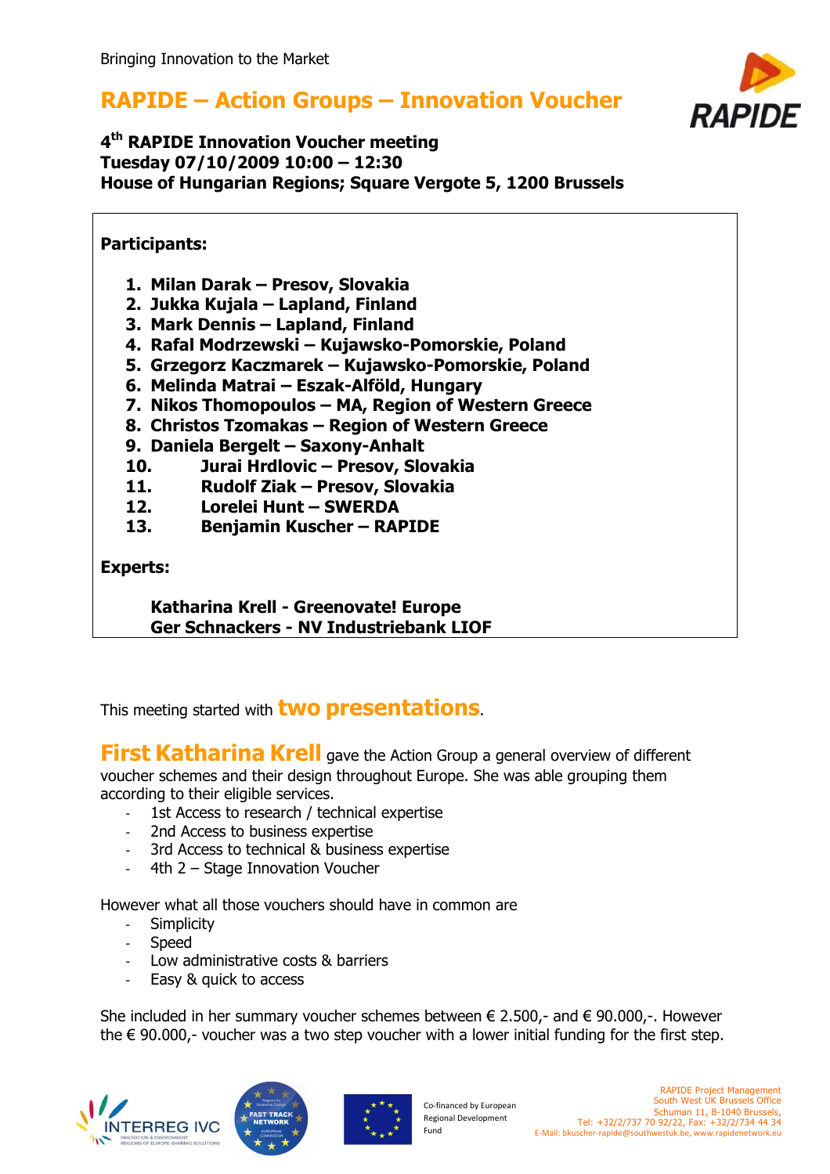

#### **4 th RAPIDE Innovation Voucher meeting Tuesday 07/10/2009 10:00 – 12:30 House of Hungarian Regions; Square Vergote 5, 1200 Brussels**

#### **Participants:**

- **1. Milan Darak Presov, Slovakia**
- **2. Jukka Kujala Lapland, Finland**
- **3. Mark Dennis Lapland, Finland**
- **4. Rafal Modrzewski Kujawsko-Pomorskie, Poland**
- **5. Grzegorz Kaczmarek Kujawsko-Pomorskie, Poland**
- **6. Melinda Matrai Eszak-Alföld, Hungary**
- **7. Nikos Thomopoulos MA, Region of Western Greece**
- **8. Christos Tzomakas Region of Western Greece**
- **9. Daniela Bergelt Saxony-Anhalt**
- **10. Jurai Hrdlovic Presov, Slovakia**
- **11. Rudolf Ziak Presov, Slovakia**
- **12. Lorelei Hunt SWERDA**
- **13. Benjamin Kuscher RAPIDE**

#### **Experts:**

**Katharina Krell - Greenovate! Europe Ger Schnackers - NV Industriebank LIOF**

This meeting started with **two presentations**.

**First Katharina Krell** gave the Action Group a general overview of different voucher schemes and their design throughout Europe. She was able grouping them according to their eligible services.

- 1st Access to research / technical expertise
- 2nd Access to business expertise
- 3rd Access to technical & business expertise
- 4th 2 Stage Innovation Voucher

However what all those vouchers should have in common are

- **Simplicity**
- **Speed**
- Low administrative costs & barriers
- Easy & quick to access

She included in her summary voucher schemes between  $\epsilon$  2.500,- and  $\epsilon$  90.000,-. However the  $\epsilon$  90.000,- voucher was a two step voucher with a lower initial funding for the first step.





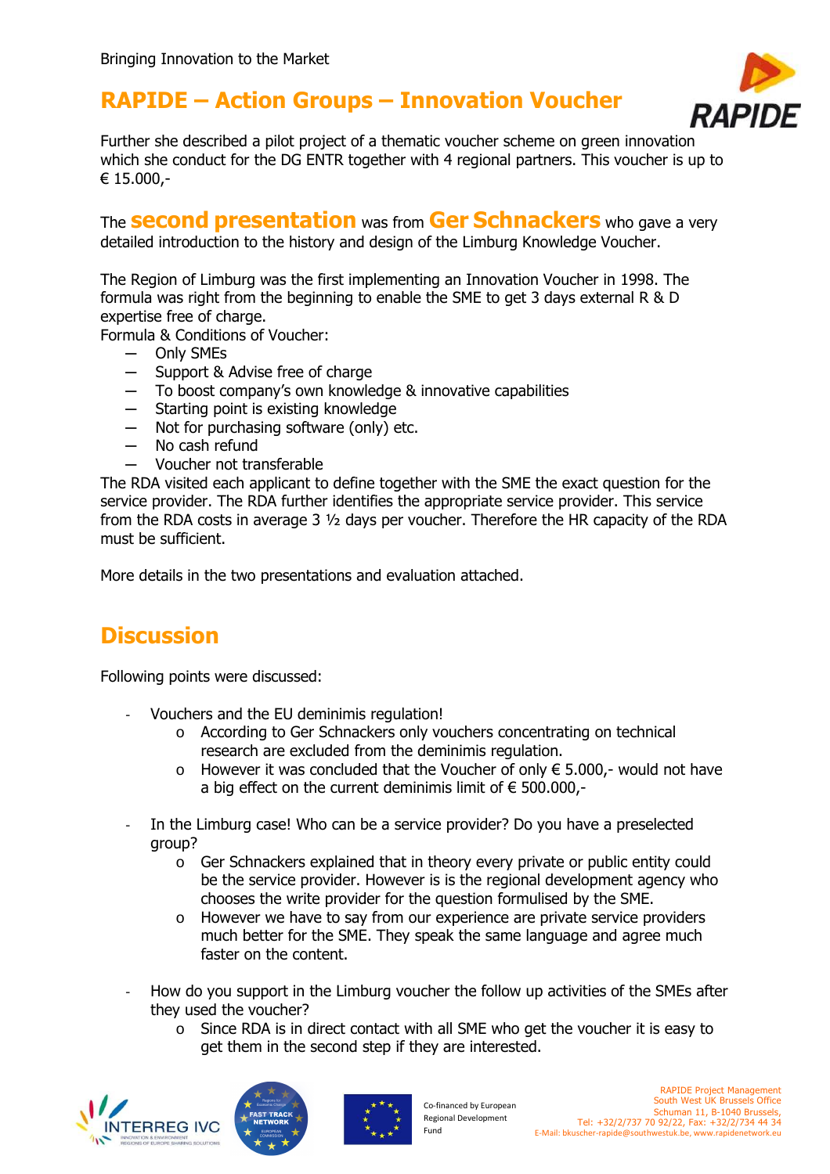

Further she described a pilot project of a thematic voucher scheme on green innovation which she conduct for the DG ENTR together with 4 regional partners. This voucher is up to € 15.000,-

The **second presentation** was from **Ger Schnackers** who gave a very detailed introduction to the history and design of the Limburg Knowledge Voucher.

The Region of Limburg was the first implementing an Innovation Voucher in 1998. The formula was right from the beginning to enable the SME to get 3 days external R & D expertise free of charge.

Formula & Conditions of Voucher:

- ─ Only SMEs
- ─ Support & Advise free of charge
- ─ To boost company's own knowledge & innovative capabilities
- ─ Starting point is existing knowledge
- ─ Not for purchasing software (only) etc.
- No cash refund
- ─ Voucher not transferable

The RDA visited each applicant to define together with the SME the exact question for the service provider. The RDA further identifies the appropriate service provider. This service from the RDA costs in average 3 ½ days per voucher. Therefore the HR capacity of the RDA must be sufficient.

More details in the two presentations and evaluation attached.

## **Discussion**

Following points were discussed:

- Vouchers and the EU deminimis regulation!
	- o According to Ger Schnackers only vouchers concentrating on technical research are excluded from the deminimis regulation.
	- o However it was concluded that the Voucher of only € 5.000,- would not have a big effect on the current deminimis limit of  $\epsilon$  500.000,-
- In the Limburg case! Who can be a service provider? Do you have a preselected group?
	- o Ger Schnackers explained that in theory every private or public entity could be the service provider. However is is the regional development agency who chooses the write provider for the question formulised by the SME.
	- o However we have to say from our experience are private service providers much better for the SME. They speak the same language and agree much faster on the content.
- How do you support in the Limburg voucher the follow up activities of the SMEs after they used the voucher?
	- o Since RDA is in direct contact with all SME who get the voucher it is easy to get them in the second step if they are interested.





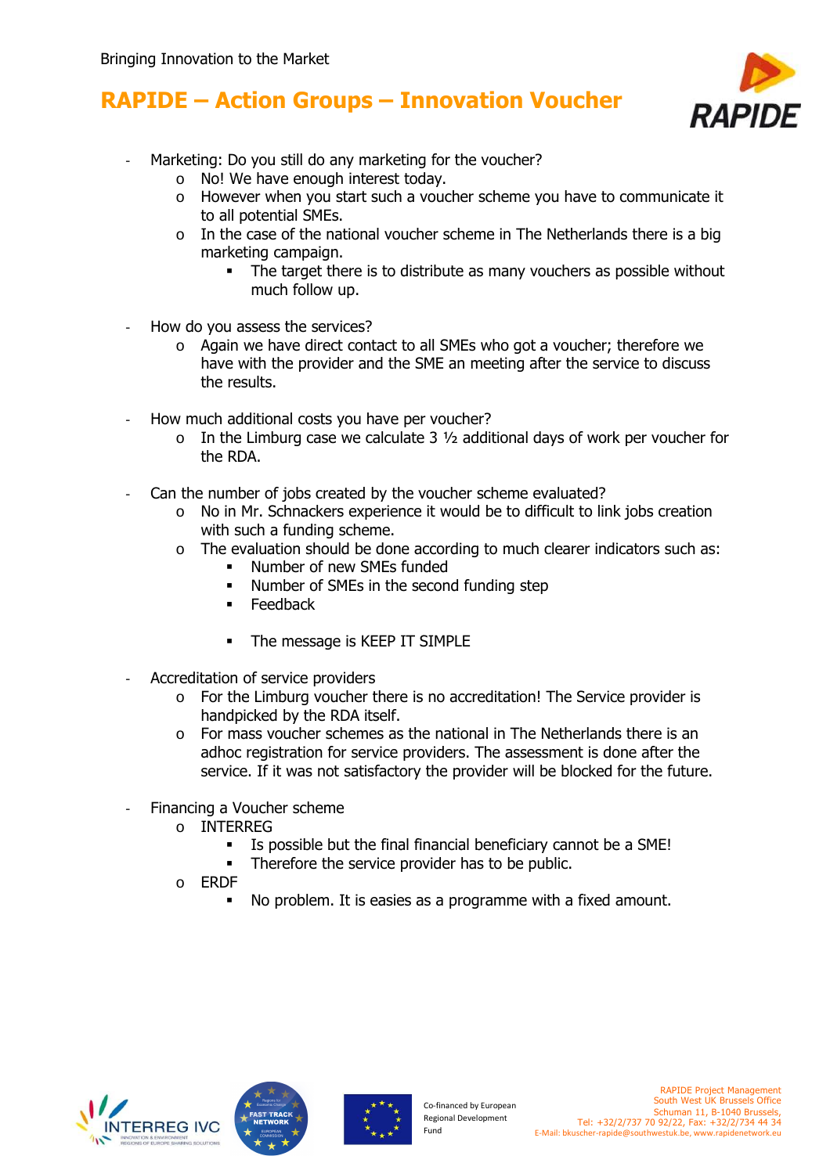

- Marketing: Do you still do any marketing for the voucher?
	- o No! We have enough interest today.
	- o However when you start such a voucher scheme you have to communicate it to all potential SMEs.
	- $\circ$  In the case of the national voucher scheme in The Netherlands there is a big marketing campaign.
		- The target there is to distribute as many vouchers as possible without much follow up.
- How do you assess the services?
	- o Again we have direct contact to all SMEs who got a voucher; therefore we have with the provider and the SME an meeting after the service to discuss the results.
- How much additional costs you have per voucher?
	- $\circ$  In the Limburg case we calculate 3  $\frac{1}{2}$  additional days of work per voucher for the RDA.
- Can the number of jobs created by the voucher scheme evaluated?
	- o No in Mr. Schnackers experience it would be to difficult to link jobs creation with such a funding scheme.
	- o The evaluation should be done according to much clearer indicators such as:
		- **Number of new SMEs funded**
		- Number of SMEs in the second funding step
		- $F$ Feedback
		- The message is KEEP IT SIMPLE
- Accreditation of service providers
	- $\circ$  For the Limburg voucher there is no accreditation! The Service provider is handpicked by the RDA itself.
	- o For mass voucher schemes as the national in The Netherlands there is an adhoc registration for service providers. The assessment is done after the service. If it was not satisfactory the provider will be blocked for the future.
- Financing a Voucher scheme
	- o INTERREG
		- Is possible but the final financial beneficiary cannot be a SME!
		- Therefore the service provider has to be public.
	- o ERDF
		- No problem. It is easies as a programme with a fixed amount.





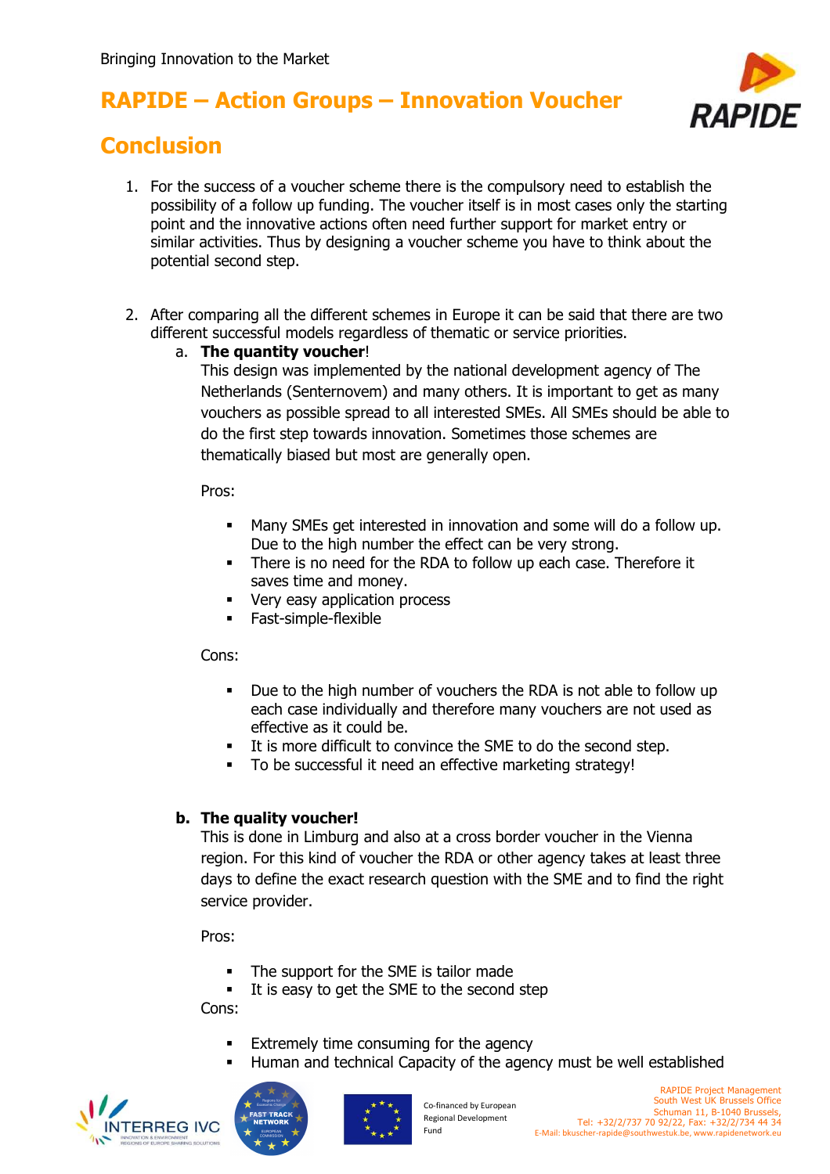

## **Conclusion**

- 1. For the success of a voucher scheme there is the compulsory need to establish the possibility of a follow up funding. The voucher itself is in most cases only the starting point and the innovative actions often need further support for market entry or similar activities. Thus by designing a voucher scheme you have to think about the potential second step.
- 2. After comparing all the different schemes in Europe it can be said that there are two different successful models regardless of thematic or service priorities.

#### a. **The quantity voucher**!

This design was implemented by the national development agency of The Netherlands (Senternovem) and many others. It is important to get as many vouchers as possible spread to all interested SMEs. All SMEs should be able to do the first step towards innovation. Sometimes those schemes are thematically biased but most are generally open.

Pros:

- Many SMEs get interested in innovation and some will do a follow up. Due to the high number the effect can be very strong.
- There is no need for the RDA to follow up each case. Therefore it saves time and money.
- Very easy application process
- **Fast-simple-flexible**

#### Cons:

- Due to the high number of vouchers the RDA is not able to follow up each case individually and therefore many vouchers are not used as effective as it could be.
- It is more difficult to convince the SME to do the second step.
- To be successful it need an effective marketing strategy!

#### **b. The quality voucher!**

This is done in Limburg and also at a cross border voucher in the Vienna region. For this kind of voucher the RDA or other agency takes at least three days to define the exact research question with the SME and to find the right service provider.

Pros:

- The support for the SME is tailor made
- It is easy to get the SME to the second step Cons:
	- **Extremely time consuming for the agency**
	- Human and technical Capacity of the agency must be well established





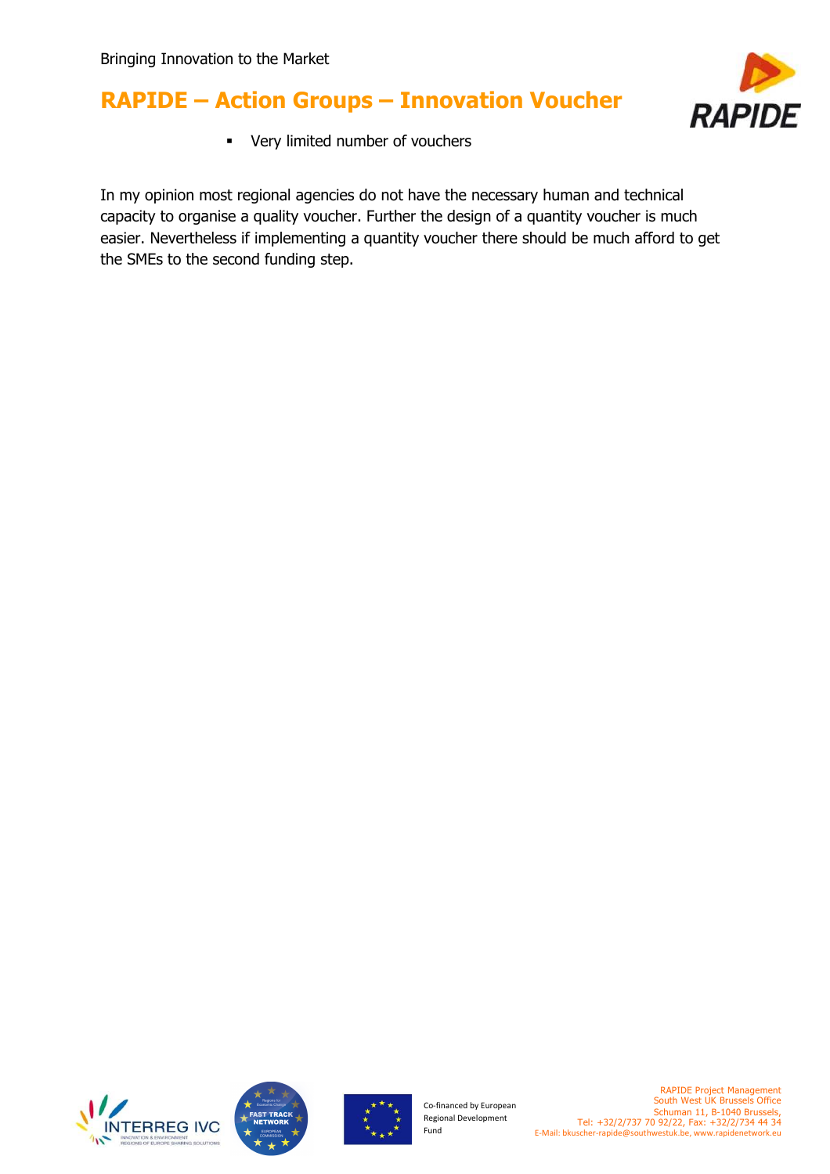

Very limited number of vouchers

In my opinion most regional agencies do not have the necessary human and technical capacity to organise a quality voucher. Further the design of a quantity voucher is much easier. Nevertheless if implementing a quantity voucher there should be much afford to get the SMEs to the second funding step.







Co-financed by European Regional Development Fund

RAPIDE Project Management South West UK Brussels Office Schuman 11, B-1040 Brussels, Tel: +32/2/737 70 92/22, Fax: +32/2/734 44 34 E-Mail: bkuscher-rapide@southwestuk.be, www.rapidenetwork.eu